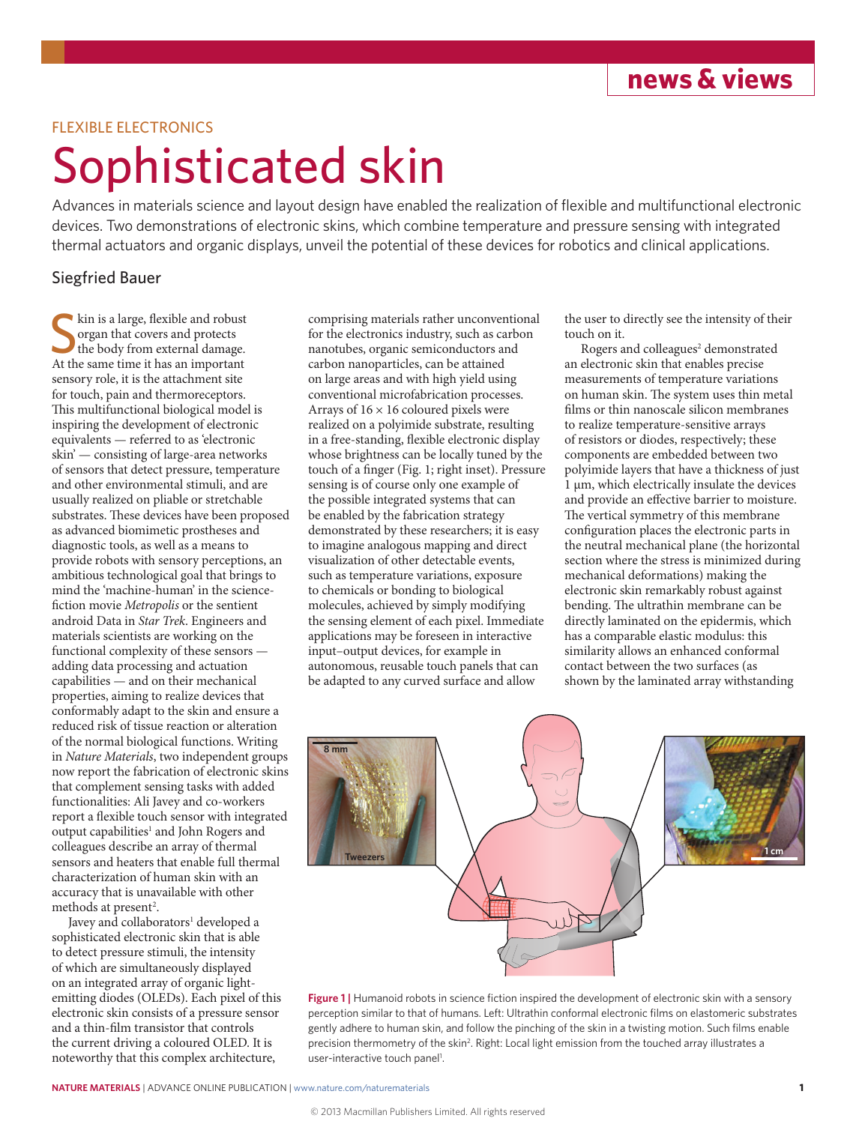**news & views**

## FLEXIBLE ELECTRONICS

## Sophisticated skin

Advances in materials science and layout design have enabled the realization of flexible and multifunctional electronic devices. Two demonstrations of electronic skins, which combine temperature and pressure sensing with integrated thermal actuators and organic displays, unveil the potential of these devices for robotics and clinical applications.

## Siegfried Bauer

Skin is a large, flexible and robust<br>organ that covers and protects<br>the body from external damage.<br>At the same time it has an important kin is a large, flexible and robust organ that covers and protects the body from external damage. sensory role, it is the attachment site for touch, pain and thermoreceptors. This multifunctional biological model is inspiring the development of electronic equivalents — referred to as 'electronic skin' — consisting of large-area networks of sensors that detect pressure, temperature and other environmental stimuli, and are usually realized on pliable or stretchable substrates. These devices have been proposed as advanced biomimetic prostheses and diagnostic tools, as well as a means to provide robots with sensory perceptions, an ambitious technological goal that brings to mind the 'machine-human' in the sciencefiction movie *Metropolis* or the sentient android Data in *Star Trek*. Engineers and materials scientists are working on the functional complexity of these sensors adding data processing and actuation capabilities — and on their mechanical properties, aiming to realize devices that conformably adapt to the skin and ensure a reduced risk of tissue reaction or alteration of the normal biological functions. Writing in *Nature Materials*, two independent groups now report the fabrication of electronic skins that complement sensing tasks with added functionalities: Ali Javey and co-workers report a flexible touch sensor with integrated output capabilities<sup>1</sup> and John Rogers and colleagues describe an array of thermal sensors and heaters that enable full thermal characterization of human skin with an accuracy that is unavailable with other methods at present<sup>2</sup>.

Javey and collaborators<sup>1</sup> developed a sophisticated electronic skin that is able to detect pressure stimuli, the intensity of which are simultaneously displayed on an integrated array of organic lightemitting diodes (OLEDs). Each pixel of this electronic skin consists of a pressure sensor and a thin-film transistor that controls the current driving a coloured OLED. It is noteworthy that this complex architecture,

comprising materials rather unconventional for the electronics industry, such as carbon nanotubes, organic semiconductors and carbon nanoparticles, can be attained on large areas and with high yield using conventional microfabrication processes. Arrays of  $16 \times 16$  coloured pixels were realized on a polyimide substrate, resulting in a free-standing, flexible electronic display whose brightness can be locally tuned by the touch of a finger (Fig. 1; right inset). Pressure sensing is of course only one example of the possible integrated systems that can be enabled by the fabrication strategy demonstrated by these researchers; it is easy to imagine analogous mapping and direct visualization of other detectable events, such as temperature variations, exposure to chemicals or bonding to biological molecules, achieved by simply modifying the sensing element of each pixel. Immediate applications may be foreseen in interactive input–output devices, for example in autonomous, reusable touch panels that can be adapted to any curved surface and allow

the user to directly see the intensity of their touch on it.

Rogers and colleagues<sup>2</sup> demonstrated an electronic skin that enables precise measurements of temperature variations on human skin. The system uses thin metal films or thin nanoscale silicon membranes to realize temperature-sensitive arrays of resistors or diodes, respectively; these components are embedded between two polyimide layers that have a thickness of just 1 μm, which electrically insulate the devices and provide an effective barrier to moisture. The vertical symmetry of this membrane configuration places the electronic parts in the neutral mechanical plane (the horizontal section where the stress is minimized during mechanical deformations) making the electronic skin remarkably robust against bending. The ultrathin membrane can be directly laminated on the epidermis, which has a comparable elastic modulus: this similarity allows an enhanced conformal contact between the two surfaces (as shown by the laminated array withstanding



Figure 1 | Humanoid robots in science fiction inspired the development of electronic skin with a sensory perception similar to that of humans. Left: Ultrathin conformal electronic films on elastomeric substrates gently adhere to human skin, and follow the pinching of the skin in a twisting motion. Such films enable precision thermometry of the skin<sup>2</sup>. Right: Local light emission from the touched array illustrates a user-interactive touch panel<sup>1</sup>.